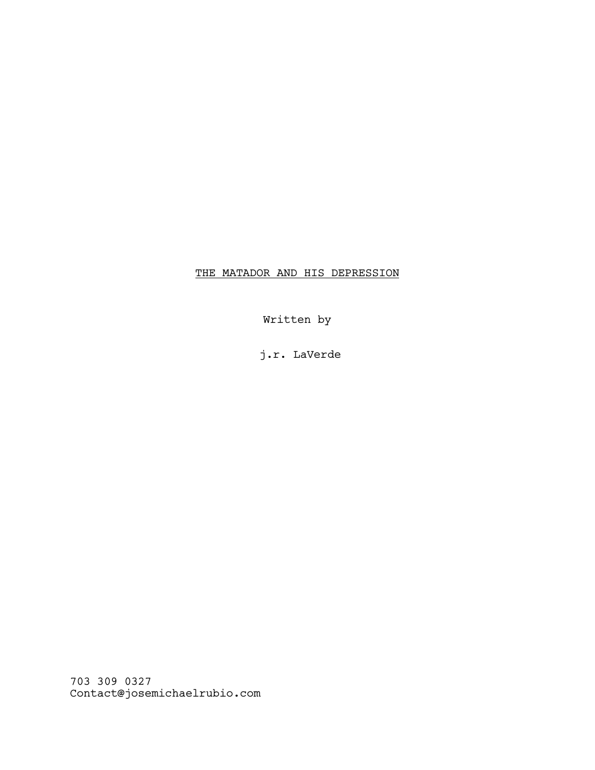## THE MATADOR AND HIS DEPRESSION

Written by

j.r. LaVerde

703 309 0327 Contact@josemichaelrubio.com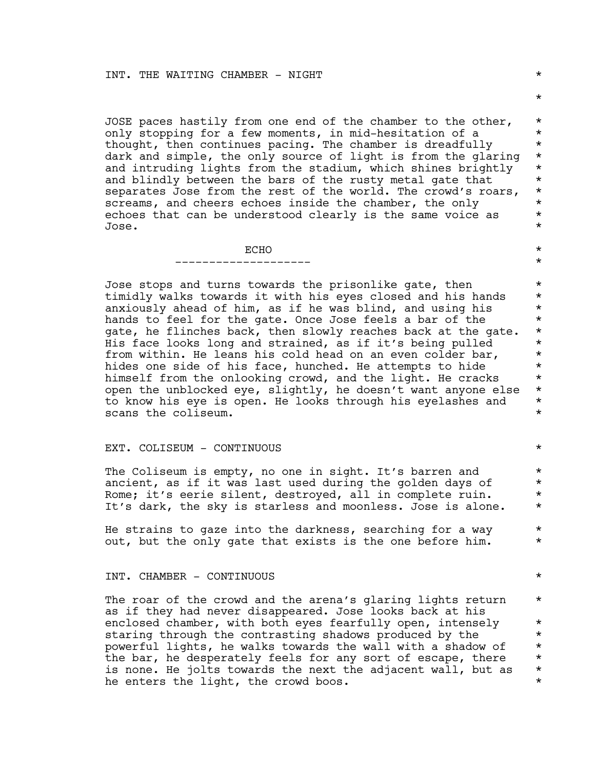JOSE paces hastily from one end of the chamber to the other,  $*$ only stopping for a few moments, in mid-hesitation of a  $*$ <br>thought, then continues pacing, The chamber is dreadfully thought, then continues pacing. The chamber is dreadfully \* dark and simple, the only source of light is from the glaring  $*$ and intruding lights from the stadium, which shines brightly \* and blindly between the bars of the rusty metal gate that \* separates Jose from the rest of the world. The crowd's roars, \* screams, and cheers echoes inside the chamber, the only  $*$ <br>echoes that can be understood clearly is the same voice as  $*$ echoes that can be understood clearly is the same voice as  $*$ Jose. \*

> $\overline{ECHO}$   $\star$  $\star$

Jose stops and turns towards the prisonlike gate, then \* timidly walks towards it with his eyes closed and his hands \* anxiously ahead of him, as if he was blind, and using his  $*$ hands to feel for the gate. Once Jose feels a bar of the  $*$ gate, he flinches back, then slowly reaches back at the gate. \*<br>His face looks long and strained, as if it's being pulled \* His face looks long and strained, as if it's being pulled \* from within. He leans his cold head on an even colder bar, \*<br>hides one side of his face, hunched. He attempts to hide \* hides one side of his face, hunched. He attempts to hide  $*$ <br>himself from the onlooking crowd, and the light. He cracks  $*$ himself from the onlooking crowd, and the light. He cracks  $*$ <br>open the unblocked eve, slightly, he doesn't want anyone else,  $*$ open the unblocked eye, slightly, he doesn't want anyone else  $*$ <br>to know his eye is open. He looks through his eyelashes and  $*$ to know his eye is open. He looks through his eyelashes and  $*$ scans the coliseum.

## EXT. COLISEUM - CONTINUOUS \*

The Coliseum is empty, no one in sight. It's barren and \* ancient, as if it was last used during the golden days of  $*$ <br>Rome: it's eerie silent, destroved, all in complete ruin,  $*$ Rome; it's eerie silent, destroyed, all in complete ruin. \* It's dark, the sky is starless and moonless. Jose is alone. \*

He strains to gaze into the darkness, searching for a way  $*$ out, but the only gate that exists is the one before him.  $*$ 

## INT. CHAMBER - CONTINUOUS \*

The roar of the crowd and the arena's glaring lights return  $*$ as if they had never disappeared. Jose looks back at his enclosed chamber, with both eyes fearfully open, intensely  $*$ staring through the contrasting shadows produced by the  $*$ <br>powerful lights, he walks towards the wall with a shadow of  $*$ powerful lights, he walks towards the wall with a shadow of  $*$ <br>the bar, he desperately feels for any sort of escape, there  $*$ the bar, he desperately feels for any sort of escape, there  $*$  is none. He iolts towards the next the adiacent wall, but as  $*$ is none. He jolts towards the next the adjacent wall, but as  $*$ <br>he enters the light, the crowd boos. he enters the light, the crowd boos.

\*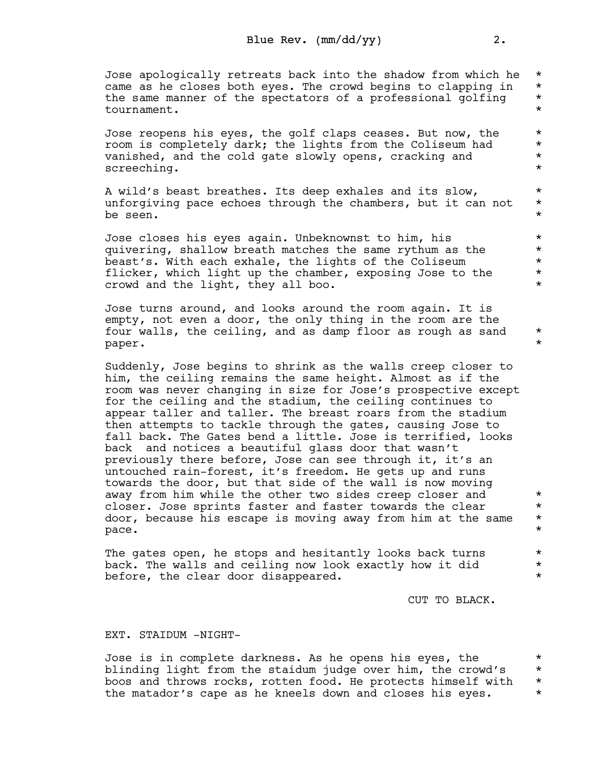Jose apologically retreats back into the shadow from which he \*<br>came as he closes both eves. The crowd begins to clapping in \* came as he closes both eyes. The crowd begins to clapping in  $*$ <br>the same manner of the spectators of a professional golfing  $*$ the same manner of the spectators of a professional golfing  $*$ <br>tournament. tournament. \*

Jose reopens his eyes, the golf claps ceases. But now, the \*<br>room is completely dark: the lights from the Coliseum had \* room is completely dark; the lights from the Coliseum had \* vanished, and the cold gate slowly opens, cracking and \* screeching.  $\star$ 

A wild's beast breathes. Its deep exhales and its slow,  $*$ unforgiving pace echoes through the chambers, but it can not  $*$ <br>be seen. be seen.  $\star$ 

Jose closes his eyes again. Unbeknownst to him, his \* quivering, shallow breath matches the same rythum as the  $*$ <br>beast's With each exhale the lights of the Coliseum beast's. With each exhale, the lights of the Coliseum \*<br>flicker, which light up the chamber, exposing Jose to the \* flicker, which light up the chamber, exposing Jose to the  $*$ <br>crowd and the light they all bee crowd and the light, they all boo. \*

Jose turns around, and looks around the room again. It is empty, not even a door, the only thing in the room are the four walls, the ceiling, and as damp floor as rough as sand  $*$ paper. \*

Suddenly, Jose begins to shrink as the walls creep closer to him, the ceiling remains the same height. Almost as if the room was never changing in size for Jose's prospective except for the ceiling and the stadium, the ceiling continues to appear taller and taller. The breast roars from the stadium then attempts to tackle through the gates, causing Jose to fall back. The Gates bend a little. Jose is terrified, looks back and notices a beautiful glass door that wasn't previously there before, Jose can see through it, it's an untouched rain-forest, it's freedom. He gets up and runs towards the door, but that side of the wall is now moving away from him while the other two sides creep closer and  $*$ closer. Jose sprints faster and faster towards the clear \* door, because his escape is moving away from him at the same \*  $\blacksquare$  pace .  $\blacksquare$ 

The gates open, he stops and hesitantly looks back turns  $*$ back. The walls and ceiling now look exactly how it did  $*$ before, the clear door disappeared.  $*$ 

CUT TO BLACK.

## EXT. STAIDUM -NIGHT-

Jose is in complete darkness. As he opens his eyes, the  $*$ <br>blinding light from the staidum iudge over him, the crowd's  $*$ blinding light from the staidum judge over him, the crowd's \* boos and throws rocks, rotten food. He protects himself with \* the matador's cape as he kneels down and closes his eyes.  $*$